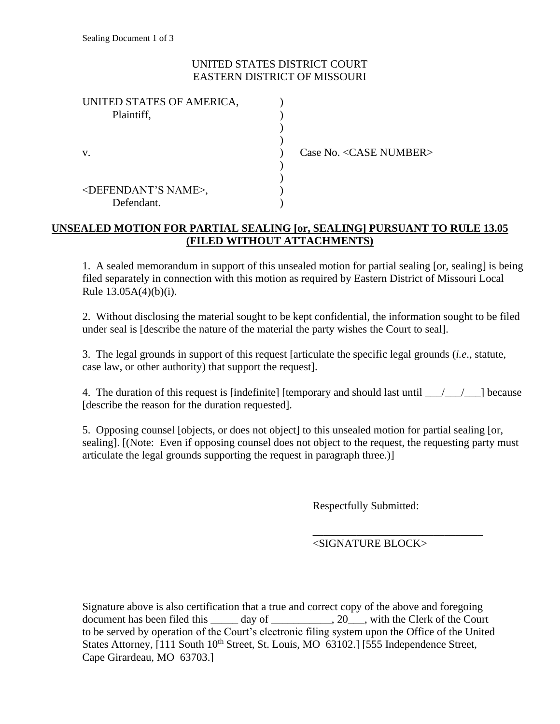## UNITED STATES DISTRICT COURT EASTERN DISTRICT OF MISSOURI

| UNITED STATES OF AMERICA,<br>Plaintiff,             |  |
|-----------------------------------------------------|--|
|                                                     |  |
| V.                                                  |  |
| <defendant's name="">,<br/>Defendant.</defendant's> |  |

Case No. <CASE NUMBER>

## **UNSEALED MOTION FOR PARTIAL SEALING [or, SEALING] PURSUANT TO RULE 13.05 (FILED WITHOUT ATTACHMENTS)**

1. A sealed memorandum in support of this unsealed motion for partial sealing [or, sealing] is being filed separately in connection with this motion as required by Eastern District of Missouri Local Rule 13.05A(4)(b)(i).

2. Without disclosing the material sought to be kept confidential, the information sought to be filed under seal is [describe the nature of the material the party wishes the Court to seal].

3. The legal grounds in support of this request [articulate the specific legal grounds (*i.e*., statute, case law, or other authority) that support the request].

4. The duration of this request is [indefinite] [temporary and should last until  $\frac{1}{\sqrt{2}}$ ] because [describe the reason for the duration requested].

5. Opposing counsel [objects, or does not object] to this unsealed motion for partial sealing [or, sealing]. [(Note: Even if opposing counsel does not object to the request, the requesting party must articulate the legal grounds supporting the request in paragraph three.)]

Respectfully Submitted:

<SIGNATURE BLOCK>

*\_\_\_\_\_\_\_\_\_\_\_\_\_\_\_\_\_\_\_\_\_\_\_\_\_\_\_\_\_\_\_*

Signature above is also certification that a true and correct copy of the above and foregoing document has been filed this \_\_\_\_\_ day of \_\_\_\_\_\_\_\_\_, 20\_\_, with the Clerk of the Court to be served by operation of the Court's electronic filing system upon the Office of the United States Attorney, [111 South 10<sup>th</sup> Street, St. Louis, MO 63102.] [555 Independence Street, Cape Girardeau, MO 63703.]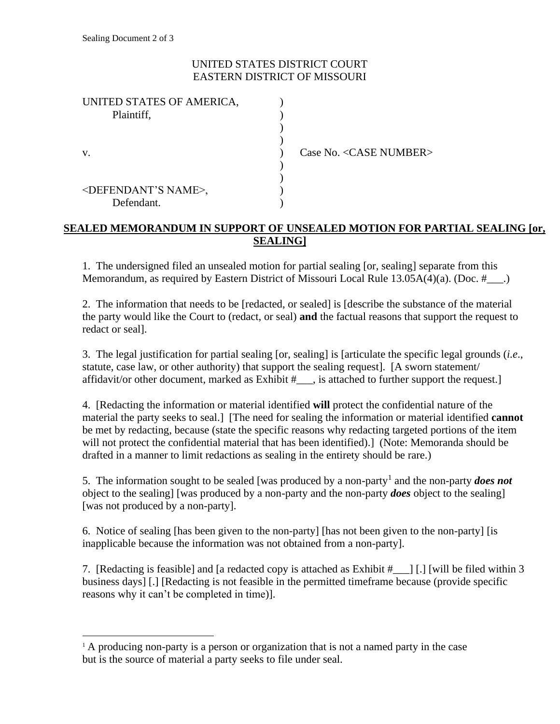## UNITED STATES DISTRICT COURT EASTERN DISTRICT OF MISSOURI

| UNITED STATES OF AMERICA,            |  |
|--------------------------------------|--|
| Plaintiff,                           |  |
|                                      |  |
|                                      |  |
| V.                                   |  |
|                                      |  |
|                                      |  |
| <defendant's name="">,</defendant's> |  |
| Defendant.                           |  |

Case No. <CASE NUMBER>

# **SEALED MEMORANDUM IN SUPPORT OF UNSEALED MOTION FOR PARTIAL SEALING [or, SEALING]**

1. The undersigned filed an unsealed motion for partial sealing [or, sealing] separate from this Memorandum, as required by Eastern District of Missouri Local Rule 13.05A(4)(a). (Doc. #\_\_\_.)

2. The information that needs to be [redacted, or sealed] is [describe the substance of the material the party would like the Court to (redact, or seal) **and** the factual reasons that support the request to redact or seal].

3. The legal justification for partial sealing [or, sealing] is [articulate the specific legal grounds (*i.e*., statute, case law, or other authority) that support the sealing request]. [A sworn statement/ affidavit/or other document, marked as Exhibit #\_\_\_, is attached to further support the request.]

4. [Redacting the information or material identified **will** protect the confidential nature of the material the party seeks to seal.] [The need for sealing the information or material identified **cannot** be met by redacting, because (state the specific reasons why redacting targeted portions of the item will not protect the confidential material that has been identified).] (Note: Memoranda should be drafted in a manner to limit redactions as sealing in the entirety should be rare.)

5. The information sought to be sealed [was produced by a non-party<sup>1</sup> and the non-party *does not* object to the sealing] [was produced by a non-party and the non-party *does* object to the sealing] [was not produced by a non-party].

6. Notice of sealing [has been given to the non-party] [has not been given to the non-party] [is inapplicable because the information was not obtained from a non-party].

7. [Redacting is feasible] and [a redacted copy is attached as Exhibit #\_\_\_] [.] [will be filed within 3 business days] [.] [Redacting is not feasible in the permitted timeframe because (provide specific reasons why it can't be completed in time)].

<sup>&</sup>lt;sup>1</sup> A producing non-party is a person or organization that is not a named party in the case but is the source of material a party seeks to file under seal.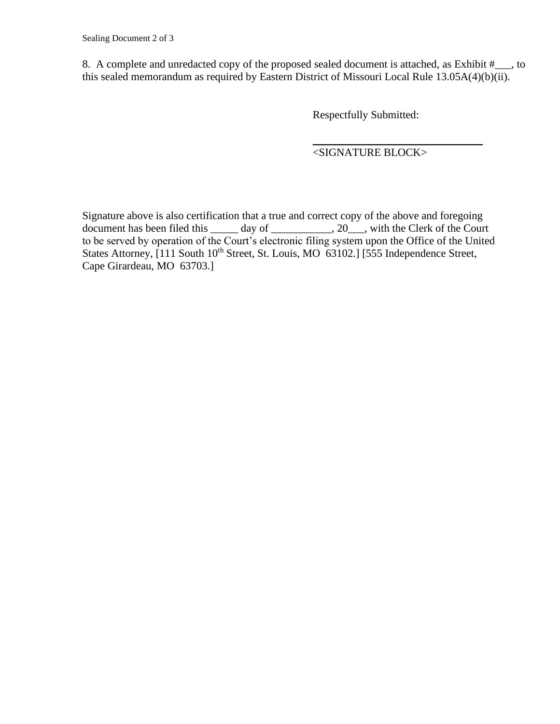8. A complete and unredacted copy of the proposed sealed document is attached, as Exhibit #\_\_\_, to this sealed memorandum as required by Eastern District of Missouri Local Rule 13.05A(4)(b)(ii).

Respectfully Submitted:

*\_\_\_\_\_\_\_\_\_\_\_\_\_\_\_\_\_\_\_\_\_\_\_\_\_\_\_\_\_\_\_* <SIGNATURE BLOCK>

Signature above is also certification that a true and correct copy of the above and foregoing document has been filed this  $\_\_\_\_$  day of  $\_\_\_\_\_$ , 20 $\_\_\_\$ , with the Clerk of the Court to be served by operation of the Court's electronic filing system upon the Office of the United States Attorney, [111 South 10<sup>th</sup> Street, St. Louis, MO 63102.] [555 Independence Street, Cape Girardeau, MO 63703.]